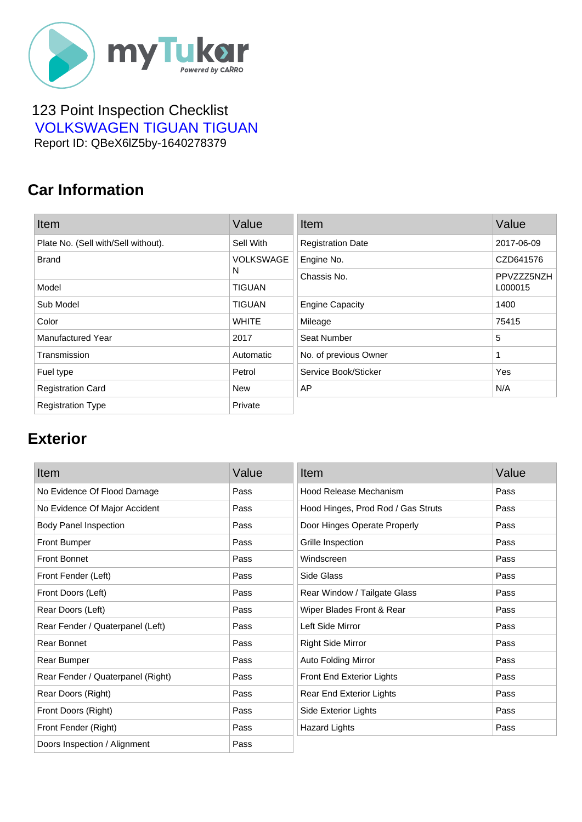

#### 123 Point Inspection Checklist  [VOLKSWAGEN TIGUAN TIGUAN](https://mytukar.com/q/G0V817) Report ID: QBeX6lZ5by-1640278379

### **Car Information**

| Item                                | Value            | Item                     | Value      |
|-------------------------------------|------------------|--------------------------|------------|
| Plate No. (Sell with/Sell without). | Sell With        | <b>Registration Date</b> | 2017-06-09 |
| <b>Brand</b>                        | <b>VOLKSWAGE</b> | Engine No.               | CZD641576  |
|                                     | N                | Chassis No.              | PPVZZZ5NZH |
| Model                               | <b>TIGUAN</b>    |                          | L000015    |
| Sub Model                           | <b>TIGUAN</b>    | <b>Engine Capacity</b>   | 1400       |
| Color                               | <b>WHITE</b>     | Mileage                  | 75415      |
| <b>Manufactured Year</b>            | 2017             | Seat Number              | 5          |
| Transmission                        | Automatic        | No. of previous Owner    | 1          |
| Fuel type                           | Petrol           | Service Book/Sticker     | Yes        |
| <b>Registration Card</b>            | <b>New</b>       | AP                       | N/A        |
| <b>Registration Type</b>            | Private          |                          |            |

### **Exterior**

| Item                              | Value | Item                               | Value |
|-----------------------------------|-------|------------------------------------|-------|
| No Evidence Of Flood Damage       | Pass  | Hood Release Mechanism             | Pass  |
| No Evidence Of Major Accident     | Pass  | Hood Hinges, Prod Rod / Gas Struts | Pass  |
| <b>Body Panel Inspection</b>      | Pass  | Door Hinges Operate Properly       | Pass  |
| <b>Front Bumper</b>               | Pass  | Grille Inspection                  | Pass  |
| <b>Front Bonnet</b>               | Pass  | Windscreen                         | Pass  |
| Front Fender (Left)               | Pass  | Side Glass                         | Pass  |
| Front Doors (Left)                | Pass  | Rear Window / Tailgate Glass       | Pass  |
| Rear Doors (Left)                 | Pass  | Wiper Blades Front & Rear          | Pass  |
| Rear Fender / Quaterpanel (Left)  | Pass  | Left Side Mirror                   | Pass  |
| Rear Bonnet                       | Pass  | <b>Right Side Mirror</b>           | Pass  |
| Rear Bumper                       | Pass  | <b>Auto Folding Mirror</b>         | Pass  |
| Rear Fender / Quaterpanel (Right) | Pass  | Front End Exterior Lights          | Pass  |
| Rear Doors (Right)                | Pass  | Rear End Exterior Lights           | Pass  |
| Front Doors (Right)               | Pass  | Side Exterior Lights               | Pass  |
| Front Fender (Right)              | Pass  | <b>Hazard Lights</b>               | Pass  |
| Doors Inspection / Alignment      | Pass  |                                    |       |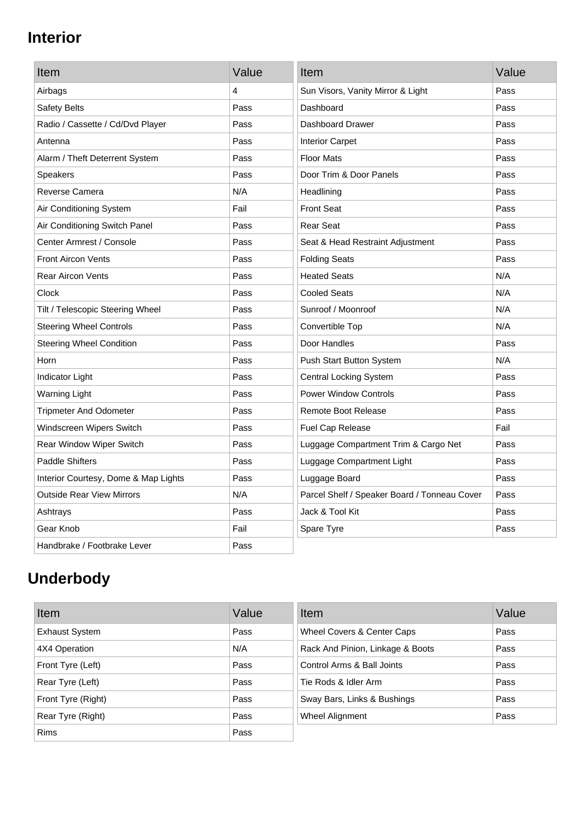# **Interior**

| Item                                 | Value | Item                                         | Value |
|--------------------------------------|-------|----------------------------------------------|-------|
| Airbags                              | 4     | Sun Visors, Vanity Mirror & Light            | Pass  |
| Safety Belts                         | Pass  | Dashboard                                    | Pass  |
| Radio / Cassette / Cd/Dvd Player     | Pass  | Dashboard Drawer                             | Pass  |
| Antenna                              | Pass  | <b>Interior Carpet</b>                       | Pass  |
| Alarm / Theft Deterrent System       | Pass  | <b>Floor Mats</b>                            | Pass  |
| <b>Speakers</b>                      | Pass  | Door Trim & Door Panels                      | Pass  |
| Reverse Camera                       | N/A   | Headlining                                   | Pass  |
| Air Conditioning System              | Fail  | <b>Front Seat</b>                            | Pass  |
| Air Conditioning Switch Panel        | Pass  | <b>Rear Seat</b>                             | Pass  |
| Center Armrest / Console             | Pass  | Seat & Head Restraint Adjustment             | Pass  |
| <b>Front Aircon Vents</b>            | Pass  | <b>Folding Seats</b>                         | Pass  |
| <b>Rear Aircon Vents</b>             | Pass  | <b>Heated Seats</b>                          | N/A   |
| Clock                                | Pass  | <b>Cooled Seats</b>                          | N/A   |
| Tilt / Telescopic Steering Wheel     | Pass  | Sunroof / Moonroof                           | N/A   |
| <b>Steering Wheel Controls</b>       | Pass  | Convertible Top                              | N/A   |
| <b>Steering Wheel Condition</b>      | Pass  | Door Handles                                 | Pass  |
| Horn                                 | Pass  | Push Start Button System                     | N/A   |
| Indicator Light                      | Pass  | <b>Central Locking System</b>                | Pass  |
| <b>Warning Light</b>                 | Pass  | <b>Power Window Controls</b>                 | Pass  |
| <b>Tripmeter And Odometer</b>        | Pass  | <b>Remote Boot Release</b>                   | Pass  |
| Windscreen Wipers Switch             | Pass  | Fuel Cap Release                             | Fail  |
| Rear Window Wiper Switch             | Pass  | Luggage Compartment Trim & Cargo Net         | Pass  |
| <b>Paddle Shifters</b>               | Pass  | Luggage Compartment Light                    | Pass  |
| Interior Courtesy, Dome & Map Lights | Pass  | Luggage Board                                | Pass  |
| <b>Outside Rear View Mirrors</b>     | N/A   | Parcel Shelf / Speaker Board / Tonneau Cover | Pass  |
| Ashtrays                             | Pass  | Jack & Tool Kit                              | Pass  |
| Gear Knob                            | Fail  | Spare Tyre                                   | Pass  |
| Handbrake / Footbrake Lever          | Pass  |                                              |       |

# **Underbody**

| Item                  | Value | Item                             | Value |
|-----------------------|-------|----------------------------------|-------|
| <b>Exhaust System</b> | Pass  | Wheel Covers & Center Caps       | Pass  |
| 4X4 Operation         | N/A   | Rack And Pinion, Linkage & Boots | Pass  |
| Front Tyre (Left)     | Pass  | Control Arms & Ball Joints       | Pass  |
| Rear Tyre (Left)      | Pass  | Tie Rods & Idler Arm             | Pass  |
| Front Tyre (Right)    | Pass  | Sway Bars, Links & Bushings      | Pass  |
| Rear Tyre (Right)     | Pass  | Wheel Alignment                  | Pass  |
| <b>Rims</b>           | Pass  |                                  |       |